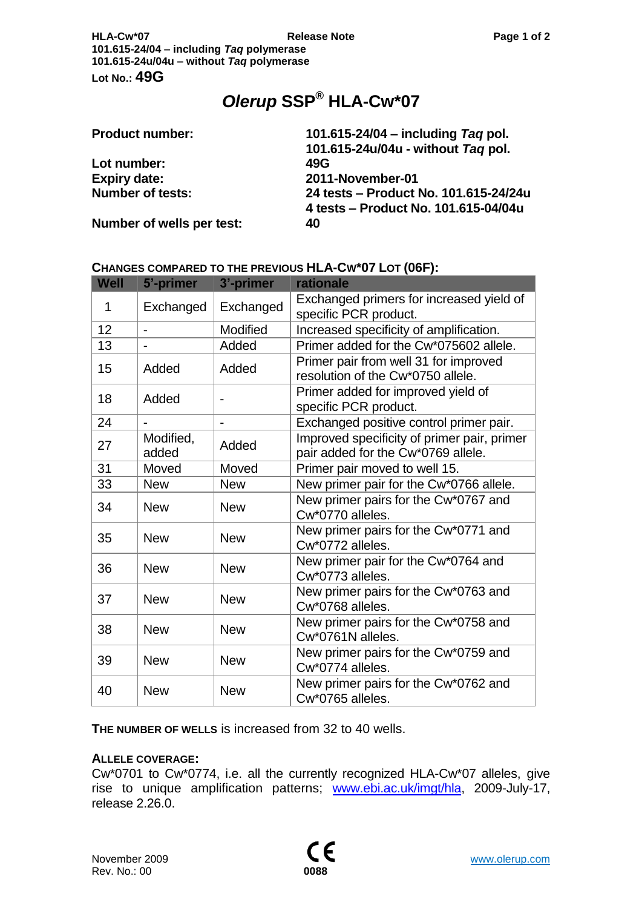# *Olerup* **SSP® HLA-Cw\*07**

| <b>Product number:</b>    | 101.615-24/04 – including Tag pol.    |
|---------------------------|---------------------------------------|
|                           | 101.615-24u/04u - without Tag pol.    |
| Lot number:               | 49G                                   |
| <b>Expiry date:</b>       | 2011-November-01                      |
| <b>Number of tests:</b>   | 24 tests - Product No. 101.615-24/24u |
|                           | 4 tests – Product No. 101.615-04/04u  |
| Number of wells per test: | 40                                    |

## **CHANGES COMPARED TO THE PREVIOUS HLA-CW\*07 LOT (06F):**

| <b>Well</b> | 5'-primer          | 3'-primer                    | rationale                                                                         |
|-------------|--------------------|------------------------------|-----------------------------------------------------------------------------------|
| 1           | Exchanged          | Exchanged                    | Exchanged primers for increased yield of<br>specific PCR product.                 |
| 12          |                    | Modified                     | Increased specificity of amplification.                                           |
| 13          |                    | Added                        | Primer added for the Cw*075602 allele.                                            |
| 15          | Added              | Added                        | Primer pair from well 31 for improved<br>resolution of the Cw*0750 allele.        |
| 18          | Added              |                              | Primer added for improved yield of<br>specific PCR product.                       |
| 24          |                    | $\qquad \qquad \blacksquare$ | Exchanged positive control primer pair.                                           |
| 27          | Modified,<br>added | Added                        | Improved specificity of primer pair, primer<br>pair added for the Cw*0769 allele. |
| 31          | Moved              | Moved                        | Primer pair moved to well 15.                                                     |
| 33          | <b>New</b>         | <b>New</b>                   | New primer pair for the Cw*0766 allele.                                           |
| 34          | <b>New</b>         | <b>New</b>                   | New primer pairs for the Cw*0767 and<br>Cw*0770 alleles.                          |
| 35          | <b>New</b>         | <b>New</b>                   | New primer pairs for the Cw*0771 and<br>Cw*0772 alleles.                          |
| 36          | <b>New</b>         | <b>New</b>                   | New primer pair for the Cw*0764 and<br>Cw*0773 alleles.                           |
| 37          | <b>New</b>         | <b>New</b>                   | New primer pairs for the Cw*0763 and<br>Cw*0768 alleles.                          |
| 38          | <b>New</b>         | <b>New</b>                   | New primer pairs for the Cw*0758 and<br>Cw*0761N alleles.                         |
| 39          | <b>New</b>         | <b>New</b>                   | New primer pairs for the Cw*0759 and<br>Cw*0774 alleles.                          |
| 40          | <b>New</b>         | <b>New</b>                   | New primer pairs for the Cw*0762 and<br>Cw*0765 alleles.                          |

**THE NUMBER OF WELLS** is increased from 32 to 40 wells.

### **ALLELE COVERAGE:**

Cw\*0701 to Cw\*0774, i.e. all the currently recognized HLA-Cw\*07 alleles, give rise to unique amplification patterns; [www.ebi.ac.uk/imgt/hla,](http://www.ebi.ac.uk/imgt/hla) 2009-July-17, release 2.26.0.